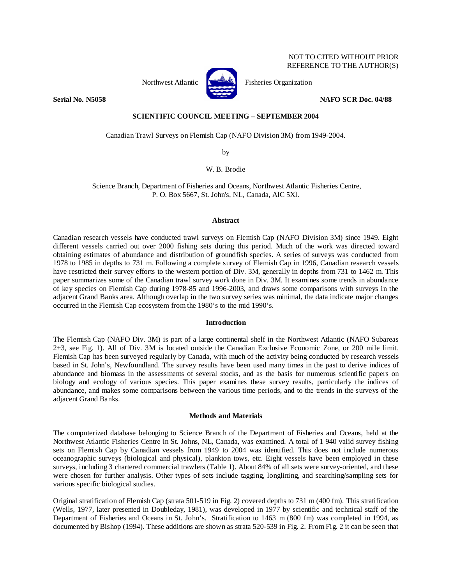# NOT TO CITED WITHOUT PRIOR REFERENCE TO THE AUTHOR(S)



Northwest Atlantic **Research Fisheries Organization** 

**Serial No. N5058 NAFO SCR Doc. 04/88** 

# **SCIENTIFIC COUNCIL MEETING – SEPTEMBER 2004**

Canadian Trawl Surveys on Flemish Cap (NAFO Division 3M) from 1949-2004.

by

W. B. Brodie

 Science Branch, Department of Fisheries and Oceans, Northwest Atlantic Fisheries Centre, P. O. Box 5667, St. John's, NL, Canada, AlC 5Xl.

### **Abstract**

Canadian research vessels have conducted trawl surveys on Flemish Cap (NAFO Division 3M) since 1949. Eight different vessels carried out over 2000 fishing sets during this period. Much of the work was directed toward obtaining estimates of abundance and distribution of groundfish species. A series of surveys was conducted from 1978 to 1985 in depths to 731 m. Following a complete survey of Flemish Cap in 1996, Canadian research vessels have restricted their survey efforts to the western portion of Div. 3M, generally in depths from 731 to 1462 m. This paper summarizes some of the Canadian trawl survey work done in Div. 3M. It examines some trends in abundance of key species on Flemish Cap during 1978-85 and 1996-2003, and draws some comparisons with surveys in the adjacent Grand Banks area. Although overlap in the two survey series was minimal, the data indicate major changes occurred in the Flemish Cap ecosystem from the 1980's to the mid 1990's.

### **Introduction**

The Flemish Cap (NAFO Div. 3M) is part of a large continental shelf in the Northwest Atlantic (NAFO Subareas 2+3, see Fig. 1). All of Div. 3M is located outside the Canadian Exclusive Economic Zone, or 200 mile limit. Flemish Cap has been surveyed regularly by Canada, with much of the activity being conducted by research vessels based in St. John's, Newfoundland. The survey results have been used many times in the past to derive indices of abundance and biomass in the assessments of several stocks, and as the basis for numerous scientific papers on biology and ecology of various species. This paper examines these survey results, particularly the indices of abundance, and makes some comparisons between the various time periods, and to the trends in the surveys of the adjacent Grand Banks.

### **Methods and Materials**

The computerized database belonging to Science Branch of the Department of Fisheries and Oceans, held at the Northwest Atlantic Fisheries Centre in St. Johns, NL, Canada, was examined. A total of 1 940 valid survey fishing sets on Flemish Cap by Canadian vessels from 1949 to 2004 was identified. This does not include numerous oceanographic surveys (biological and physical), plankton tows, etc. Eight vessels have been employed in these surveys, including 3 chartered commercial trawlers (Table 1). About 84% of all sets were survey-oriented, and these were chosen for further analysis. Other types of sets include tagging, longlining, and searching/sampling sets for various specific biological studies.

Original stratification of Flemish Cap (strata 501-519 in Fig. 2) covered depths to 731 m (400 fm). This stratification (Wells, 1977, later presented in Doubleday, 1981), was developed in 1977 by scientific and technical staff of the Department of Fisheries and Oceans in St. John's. Stratification to 1463 m (800 fm) was completed in 1994, as documented by Bishop (1994). These additions are shown as strata 520-539 in Fig. 2. From Fig. 2 it can be seen that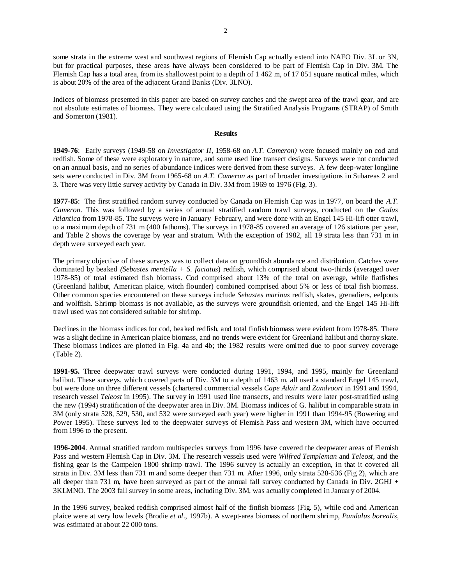some strata in the extreme west and southwest regions of Flemish Cap actually extend into NAFO Div. 3L or 3N, but for practical purposes, these areas have always been considered to be part of Flemish Cap in Div. 3M. The Flemish Cap has a total area, from its shallowest point to a depth of 1 462 m, of 17 051 square nautical miles, which is about 20% of the area of the adjacent Grand Banks (Div. 3LNO).

Indices of biomass presented in this paper are based on survey catches and the swept area of the trawl gear, and are not absolute estimates of biomass. They were calculated using the Stratified Analysis Programs (STRAP) of Smith and Somerton (1981).

### **Results**

**1949-76**: Early surveys (1949-58 on *Investigator II*, 1958-68 on *A.T. Cameron)* were focused mainly on cod and redfish. Some of these were exploratory in nature, and some used line transect designs. Surveys were not conducted on an annual basis, and no series of abundance indices were derived from these surveys. A few deep-water longline sets were conducted in Div. 3M from 1965-68 on *A.T. Cameron* as part of broader investigations in Subareas 2 and 3. There was very little survey activity by Canada in Div. 3M from 1969 to 1976 (Fig. 3).

**1977-85**: The first stratified random survey conducted by Canada on Flemish Cap was in 1977, on board the *A.T. Cameron*. This was followed by a series of annual stratified random trawl surveys, conducted on the *Gadus Atlantica* from 1978-85. The surveys were in January–February, and were done with an Engel 145 Hi-lift otter trawl, to a maximum depth of 731 m (400 fathoms). The surveys in 1978-85 covered an average of 126 stations per year, and Table 2 shows the coverage by year and stratum. With the exception of 1982, all 19 strata less than 731 m in depth were surveyed each year.

The primary objective of these surveys was to collect data on groundfish abundance and distribution. Catches were dominated by beaked *(Sebastes mentella + S. faciatus*) redfish, which comprised about two-thirds (averaged over 1978-85) of total estimated fish biomass. Cod comprised about 13% of the total on average, while flatfishes (Greenland halibut, American plaice, witch flounder) combined comprised about 5% or less of total fish biomass. Other common species encountered on these surveys include *Sebastes marinus* redfish, skates, grenadiers, eelpouts and wolffish. Shrimp biomass is not available, as the surveys were groundfish oriented, and the Engel 145 Hi-lift trawl used was not considered suitable for shrimp.

Declines in the biomass indices for cod, beaked redfish, and total finfish biomass were evident from 1978-85. There was a slight decline in American plaice biomass, and no trends were evident for Greenland halibut and thorny skate. These biomass indices are plotted in Fig. 4a and 4b; the 1982 results were omitted due to poor survey coverage (Table 2).

**1991-95.** Three deepwater trawl surveys were conducted during 1991, 1994, and 1995, mainly for Greenland halibut. These surveys, which covered parts of Div. 3M to a depth of 1463 m, all used a standard Engel 145 trawl, but were done on three different vessels (chartered commercial vessels *Cape Adair* and *Zandvoort* in 1991 and 1994, research vessel *Teleost* in 1995). The survey in 1991 used line transects, and results were later post-stratified using the new (1994) stratification of the deepwater area in Div. 3M. Biomass indices of G. halibut in comparable strata in 3M (only strata 528, 529, 530, and 532 were surveyed each year) were higher in 1991 than 1994-95 (Bowering and Power 1995). These surveys led to the deepwater surveys of Flemish Pass and western 3M, which have occurred from 1996 to the present.

**1996-2004**. Annual stratified random multispecies surveys from 1996 have covered the deepwater areas of Flemish Pass and western Flemish Cap in Div. 3M. The research vessels used were *Wilfred Templeman* and *Teleost,* and the fishing gear is the Campelen 1800 shrimp trawl. The 1996 survey is actually an exception, in that it covered all strata in Div. 3M less than 731 m and some deeper than 731 m. After 1996, only strata 528-536 (Fig 2), which are all deeper than 731 m, have been surveyed as part of the annual fall survey conducted by Canada in Div. 2GHJ + 3KLMNO. The 2003 fall survey in some areas, including Div. 3M, was actually completed in January of 2004.

In the 1996 survey, beaked redfish comprised almost half of the finfish biomass (Fig. 5), while cod and American plaice were at very low levels (Brodie *et al*., 1997b). A swept-area biomass of northern shrimp, *Pandalus borealis*, was estimated at about 22 000 tons.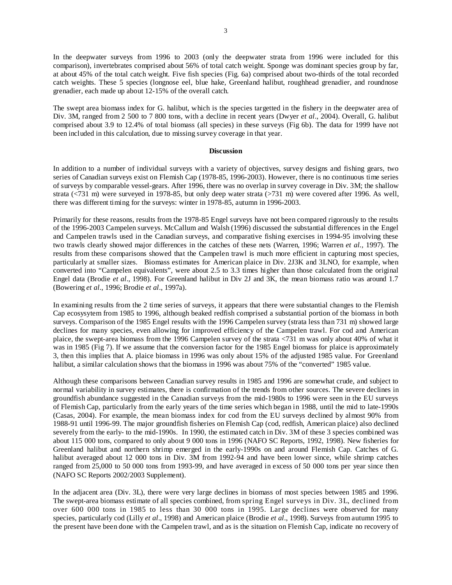In the deepwater surveys from 1996 to 2003 (only the deepwater strata from 1996 were included for this comparison), invertebrates comprised about 56% of total catch weight. Sponge was dominant species group by far, at about 45% of the total catch weight. Five fish species (Fig. 6a) comprised about two-thirds of the total recorded catch weights. These 5 species (longnose eel, blue hake, Greenland halibut, roughhead grenadier, and roundnose grenadier, each made up about 12-15% of the overall catch.

The swept area biomass index for G. halibut, which is the species targetted in the fishery in the deepwater area of Div. 3M, ranged from 2 500 to 7 800 tons, with a decline in recent years (Dwyer *et al*., 2004). Overall, G. halibut comprised about 3.9 to 12.4% of total biomass (all species) in these surveys (Fig 6b). The data for 1999 have not been included in this calculation, due to missing survey coverage in that year.

### **Discussion**

In addition to a number of individual surveys with a variety of objectives, survey designs and fishing gears, two series of Canadian surveys exist on Flemish Cap (1978-85, 1996-2003). However, there is no continuous time series of surveys by comparable vessel-gears. After 1996, there was no overlap in survey coverage in Div. 3M; the shallow strata (<731 m) were surveyed in 1978-85, but only deep water strata (>731 m) were covered after 1996. As well, there was different timing for the surveys: winter in 1978-85, autumn in 1996-2003.

Primarily for these reasons, results from the 1978-85 Engel surveys have not been compared rigorously to the results of the 1996-2003 Campelen surveys. McCallum and Walsh (1996) discussed the substantial differences in the Engel and Campelen trawls used in the Canadian surveys, and comparative fishing exercises in 1994-95 involving these two trawls clearly showed major differences in the catches of these nets (Warren, 1996; Warren *et al.,* 1997). The results from these comparisons showed that the Campelen trawl is much more efficient in capturing most species, particularly at smaller sizes. Biomass estimates for American plaice in Div. 2J3K and 3LNO, for example, when converted into "Campelen equivalents", were about 2.5 to 3.3 times higher than those calculated from the original Engel data (Brodie *et al*., 1998). For Greenland halibut in Div 2J and 3K, the mean biomass ratio was around 1.7 (Bowering *et al*., 1996; Brodie *et al*., 1997a).

In examining results from the 2 time series of surveys, it appears that there were substantial changes to the Flemish Cap ecosysytem from 1985 to 1996, although beaked redfish comprised a substantial portion of the biomass in both surveys. Comparison of the 1985 Engel results with the 1996 Campelen survey (strata less than 731 m) showed large declines for many species, even allowing for improved efficiency of the Campelen trawl. For cod and American plaice, the swept-area biomass from the 1996 Campelen survey of the strata <731 m was only about 40% of what it was in 1985 (Fig 7). If we assume that the conversion factor for the 1985 Engel biomass for plaice is approximately 3, then this implies that A. plaice biomass in 1996 was only about 15% of the adjusted 1985 value. For Greenland halibut, a similar calculation shows that the biomass in 1996 was about 75% of the "converted" 1985 value.

Although these comparisons between Canadian survey results in 1985 and 1996 are somewhat crude, and subject to normal variability in survey estimates, there is confirmation of the trends from other sources. The severe declines in groundfish abundance suggested in the Canadian surveys from the mid-1980s to 1996 were seen in the EU surveys of Flemish Cap, particularly from the early years of the time series which began in 1988, until the mid to late-1990s (Casas, 2004). For example, the mean biomass index for cod from the EU surveys declined by almost 90% from 1988-91 until 1996-99. The major groundfish fisheries on Flemish Cap (cod, redfish, American plaice) also declined severely from the early- to the mid-1990s. In 1990, the estimated catch in Div. 3M of these 3 species combined was about 115 000 tons, compared to only about 9 000 tons in 1996 (NAFO SC Reports, 1992, 1998). New fisheries for Greenland halibut and northern shrimp emerged in the early-1990s on and around Flemish Cap. Catches of G. halibut averaged about 12 000 tons in Div. 3M from 1992-94 and have been lower since, while shrimp catches ranged from 25,000 to 50 000 tons from 1993-99, and have averaged in excess of 50 000 tons per year since then (NAFO SC Reports 2002/2003 Supplement).

In the adjacent area (Div. 3L), there were very large declines in biomass of most species between 1985 and 1996. The swept-area biomass estimate of all species combined, from spring Engel surveys in Div. 3L, declined from over 600 000 tons in 1985 to less than 30 000 tons in 1995. Large declines were observed for many species, particularly cod (Lilly *et al*., 1998) and American plaice (Brodie *et al*., 1998). Surveys from autumn 1995 to the present have been done with the Campelen trawl, and as is the situation on Flemish Cap, indicate no recovery of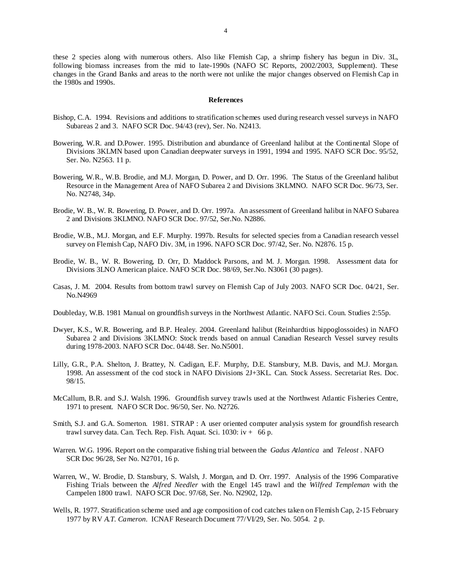these 2 species along with numerous others. Also like Flemish Cap, a shrimp fishery has begun in Div. 3L, following biomass increases from the mid to late-1990s (NAFO SC Reports, 2002/2003, Supplement). These changes in the Grand Banks and areas to the north were not unlike the major changes observed on Flemish Cap in the 1980s and 1990s.

#### **References**

- Bishop, C.A. 1994. Revisions and additions to stratification schemes used during research vessel surveys in NAFO Subareas 2 and 3. NAFO SCR Doc. 94/43 (rev), Ser. No. N2413.
- Bowering, W.R. and D.Power. 1995. Distribution and abundance of Greenland halibut at the Continental Slope of Divisions 3KLMN based upon Canadian deepwater surveys in 1991, 1994 and 1995. NAFO SCR Doc. 95/52, Ser. No. N2563. 11 p.
- Bowering, W.R., W.B. Brodie, and M.J. Morgan, D. Power, and D. Orr. 1996. The Status of the Greenland halibut Resource in the Management Area of NAFO Subarea 2 and Divisions 3KLMNO. NAFO SCR Doc. 96/73, Ser. No. N2748, 34p.
- Brodie, W. B., W. R. Bowering, D. Power, and D. Orr. 1997a. An assessment of Greenland halibut in NAFO Subarea 2 and Divisions 3KLMNO. NAFO SCR Doc. 97/52, Ser.No. N2886.
- Brodie, W.B., M.J. Morgan, and E.F. Murphy. 1997b. Results for selected species from a Canadian research vessel survey on Flemish Cap, NAFO Div. 3M, in 1996. NAFO SCR Doc. 97/42, Ser. No. N2876. 15 p.
- Brodie, W. B., W. R. Bowering, D. Orr, D. Maddock Parsons, and M. J. Morgan. 1998. Assessment data for Divisions 3LNO American plaice. NAFO SCR Doc. 98/69, Ser.No. N3061 (30 pages).
- Casas, J. M. 2004. Results from bottom trawl survey on Flemish Cap of July 2003. NAFO SCR Doc. 04/21, Ser. No.N4969
- Doubleday, W.B. 1981 Manual on groundfish surveys in the Northwest Atlantic. NAFO Sci. Coun. Studies 2:55p.
- Dwyer, K.S., W.R. Bowering, and B.P. Healey. 2004. Greenland halibut (Reinhardtius hippoglossoides) in NAFO Subarea 2 and Divisions 3KLMNO: Stock trends based on annual Canadian Research Vessel survey results during 1978-2003. NAFO SCR Doc. 04/48. Ser. No.N5001.
- Lilly, G.R., P.A. Shelton, J. Brattey, N. Cadigan, E.F. Murphy, D.E. Stansbury, M.B. Davis, and M.J. Morgan. 1998. An assessment of the cod stock in NAFO Divisions 2J+3KL. Can. Stock Assess. Secretariat Res. Doc. 98/15.
- McCallum, B.R. and S.J. Walsh. 1996. Groundfish survey trawls used at the Northwest Atlantic Fisheries Centre, 1971 to present. NAFO SCR Doc. 96/50, Ser. No. N2726.
- Smith, S.J. and G.A. Somerton. 1981. STRAP : A user oriented computer analysis system for groundfish research trawl survey data. Can. Tech. Rep. Fish. Aquat. Sci.  $1030$ : iv  $+$  66 p.
- Warren. W.G. 1996. Report on the comparative fishing trial between the *Gadus Atlantica* and *Teleost* . NAFO SCR Doc 96/28, Ser No. N2701, 16 p.
- Warren, W., W. Brodie, D. Stansbury, S. Walsh, J. Morgan, and D. Orr. 1997. Analysis of the 1996 Comparative Fishing Trials between the *Alfred Needler* with the Engel 145 trawl and the *Wilfred Templeman* with the Campelen 1800 trawl. NAFO SCR Doc. 97/68, Ser. No. N2902, 12p.
- Wells, R. 1977. Stratification scheme used and age composition of cod catches taken on Flemish Cap, 2-15 February 1977 by RV *A.T. Cameron*. ICNAF Research Document 77/VI/29, Ser. No. 5054. 2 p.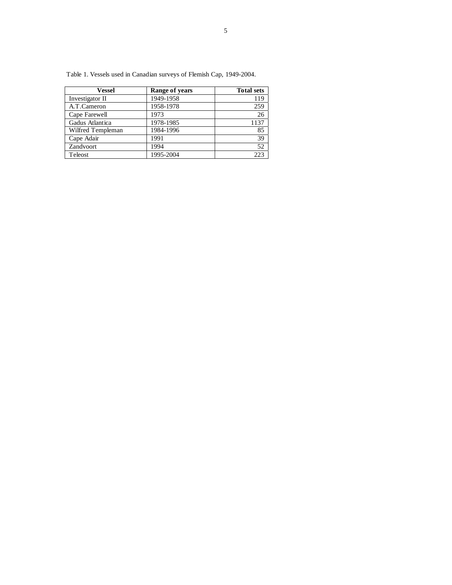| <b>Vessel</b>     | <b>Range of years</b> | <b>Total sets</b> |
|-------------------|-----------------------|-------------------|
| Investigator II   | 1949-1958             | 119               |
| A.T.Cameron       | 1958-1978             | 259               |
| Cape Farewell     | 1973                  | 26                |
| Gadus Atlantica   | 1978-1985             | 1137              |
| Wilfred Templeman | 1984-1996             | 85                |
| Cape Adair        | 1991                  | 39                |
| Zandvoort         | 1994                  | 52                |
| Teleost           | 1995-2004             | つつつ               |

Table 1. Vessels used in Canadian surveys of Flemish Cap, 1949-2004.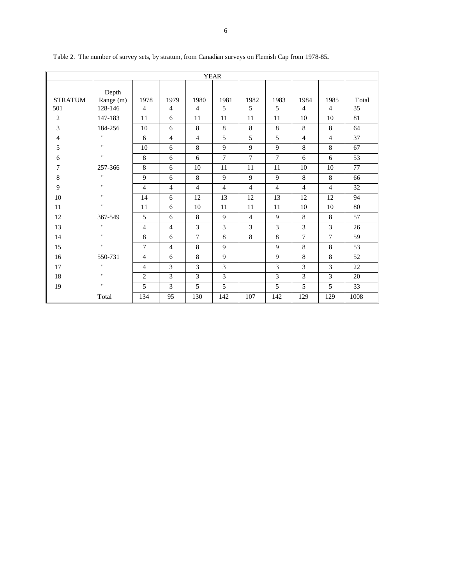| <b>YEAR</b>    |                    |                |                |                |                |                |                |                |                |       |  |
|----------------|--------------------|----------------|----------------|----------------|----------------|----------------|----------------|----------------|----------------|-------|--|
|                | Depth              |                |                |                |                |                |                |                |                |       |  |
| <b>STRATUM</b> | Range (m)          | 1978           | 1979           | 1980           | 1981           | 1982           | 1983           | 1984           | 1985           | Total |  |
| 501            | 128-146            | $\overline{4}$ | $\overline{4}$ | $\overline{4}$ | 5              | 5              | 5              | $\overline{4}$ | $\overline{4}$ | 35    |  |
| $\overline{c}$ | 147-183            | 11             | 6              | 11             | 11             | 11             | 11             | 10             | 10             | 81    |  |
| 3              | 184-256            | 10             | 6              | 8              | 8              | 8              | 8              | 8              | 8              | 64    |  |
| 4              | $\pmb{\mathsf{H}}$ | 6              | $\overline{4}$ | $\overline{4}$ | 5              | 5              | 5              | $\overline{4}$ | $\overline{4}$ | 37    |  |
| 5              | $\pmb{\mathsf{H}}$ | 10             | 6              | 8              | 9              | 9              | $\overline{9}$ | 8              | 8              | 67    |  |
| 6              | $\mathbf{H}$       | 8              | 6              | 6              | $\tau$         | $\overline{7}$ | $\overline{7}$ | 6              | 6              | 53    |  |
| 7              | 257-366            | 8              | 6              | 10             | 11             | 11             | 11             | 10             | 10             | 77    |  |
| 8              | $\pmb{\mathsf{H}}$ | 9              | 6              | 8              | 9              | 9              | 9              | 8              | 8              | 66    |  |
| 9              | $\pmb{\mathsf{H}}$ | 4              | $\overline{4}$ | $\overline{4}$ | $\overline{4}$ | $\overline{4}$ | $\overline{4}$ | $\overline{4}$ | $\overline{4}$ | 32    |  |
| 10             | $\pmb{\mathsf{H}}$ | 14             | 6              | 12             | 13             | 12             | 13             | 12             | 12             | 94    |  |
| 11             | $\pmb{\mathsf{H}}$ | 11             | 6              | 10             | 11             | 11             | 11             | 10             | 10             | 80    |  |
| 12             | 367-549            | 5              | 6              | 8              | 9              | $\overline{4}$ | 9              | 8              | 8              | 57    |  |
| 13             | $\pmb{\mathsf{H}}$ | $\overline{4}$ | $\overline{4}$ | 3              | $\overline{3}$ | 3              | 3              | 3              | $\overline{3}$ | 26    |  |
| 14             | $\pmb{\mathsf{H}}$ | 8              | 6              | $\overline{7}$ | 8              | 8              | 8              | $\overline{7}$ | $\overline{7}$ | 59    |  |
| 15             | $\pmb{\mathsf{H}}$ | 7              | $\overline{4}$ | 8              | 9              |                | 9              | 8              | 8              | 53    |  |
| 16             | 550-731            | $\overline{4}$ | 6              | 8              | 9              |                | $\overline{9}$ | 8              | 8              | 52    |  |
| 17             | $\pmb{\mathsf{H}}$ | $\overline{4}$ | 3              | 3              | 3              |                | 3              | $\overline{3}$ | $\overline{3}$ | 22    |  |
| 18             | $\pmb{\mathsf{H}}$ | $\overline{c}$ | 3              | 3              | 3              |                | 3              | 3              | 3              | 20    |  |
| 19             | $\pmb{\mathsf{H}}$ | 5              | 3              | 5              | 5              |                | 5              | 5              | 5              | 33    |  |
|                | Total              | 134            | 95             | 130            | 142            | 107            | 142            | 129            | 129            | 1008  |  |

Table 2. The number of survey sets, by stratum, from Canadian surveys on Flemish Cap from 1978-85**.**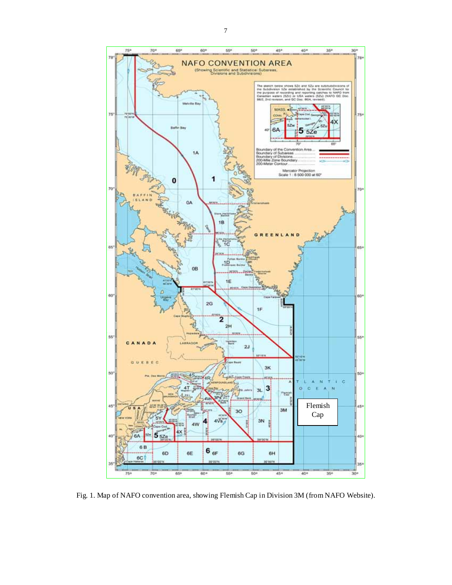

Fig. 1. Map of NAFO convention area, showing Flemish Cap in Division 3M (from NAFO Website).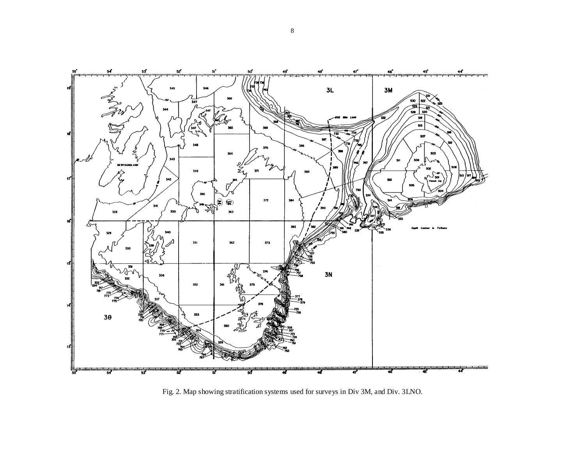

Fig. 2. Map showing stratification systems used for surveys in Div 3M, and Div. 3LNO.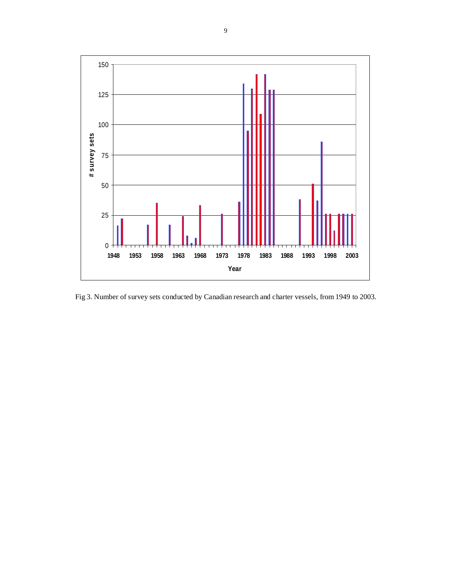

Fig 3. Number of survey sets conducted by Canadian research and charter vessels, from 1949 to 2003.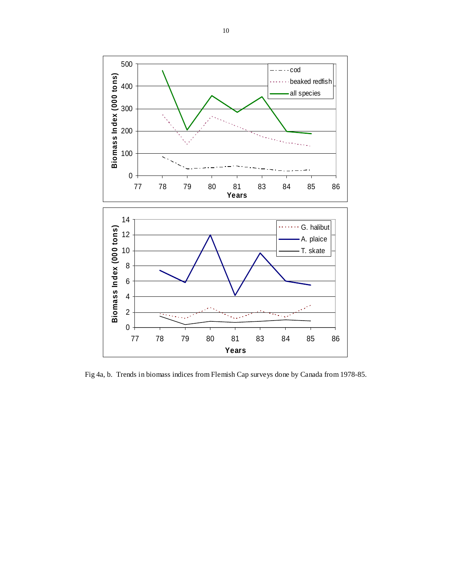

Fig 4a, b. Trends in biomass indices from Flemish Cap surveys done by Canada from 1978-85.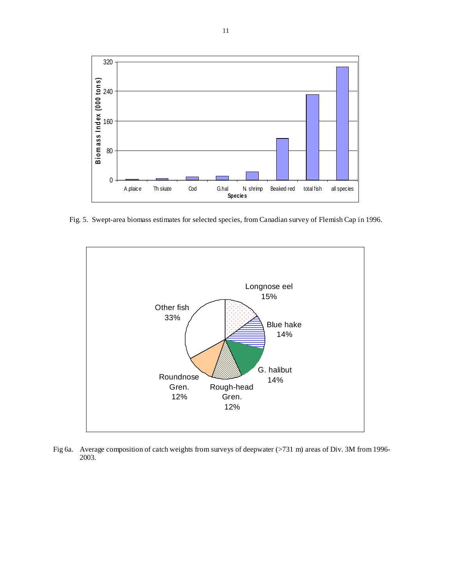

Fig. 5. Swept-area biomass estimates for selected species, from Canadian survey of Flemish Cap in 1996.



Fig 6a. Average composition of catch weights from surveys of deepwater (>731 m) areas of Div. 3M from 1996-2003.